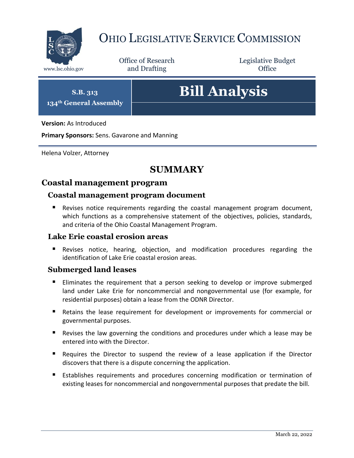

# OHIO LEGISLATIVE SERVICE COMMISSION

Office of Research www.lsc.ohio.gov **and Drafting Office** 

Legislative Budget

**S.B. 313 134th General Assembly**

# **Bill Analysis**

**Version:** As Introduced

**Primary Sponsors:** Sens. Gavarone and Manning

Helena Volzer, Attorney

# **SUMMARY**

# **Coastal management program**

#### **Coastal management program document**

 Revises notice requirements regarding the coastal management program document, which functions as a comprehensive statement of the objectives, policies, standards, and criteria of the Ohio Coastal Management Program.

#### **Lake Erie coastal erosion areas**

 Revises notice, hearing, objection, and modification procedures regarding the identification of Lake Erie coastal erosion areas.

# **Submerged land leases**

- **Eliminates the requirement that a person seeking to develop or improve submerged** land under Lake Erie for noncommercial and nongovernmental use (for example, for residential purposes) obtain a lease from the ODNR Director.
- Retains the lease requirement for development or improvements for commercial or governmental purposes.
- Revises the law governing the conditions and procedures under which a lease may be entered into with the Director.
- Requires the Director to suspend the review of a lease application if the Director discovers that there is a dispute concerning the application.
- Establishes requirements and procedures concerning modification or termination of existing leases for noncommercial and nongovernmental purposes that predate the bill.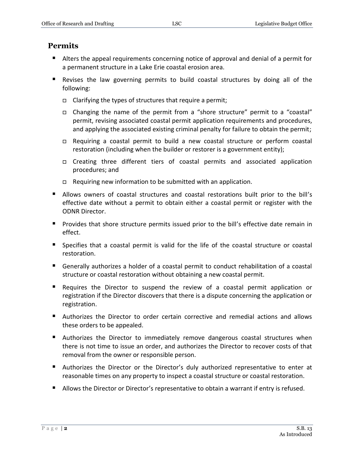## **Permits**

- Alters the appeal requirements concerning notice of approval and denial of a permit for a permanent structure in a Lake Erie coastal erosion area.
- Revises the law governing permits to build coastal structures by doing all of the following:
	- $\Box$  Clarifying the types of structures that require a permit;
	- Changing the name of the permit from a "shore structure" permit to a "coastal" permit, revising associated coastal permit application requirements and procedures, and applying the associated existing criminal penalty for failure to obtain the permit;
	- Requiring a coastal permit to build a new coastal structure or perform coastal restoration (including when the builder or restorer is a government entity);
	- Creating three different tiers of coastal permits and associated application procedures; and
	- $\Box$  Requiring new information to be submitted with an application.
- Allows owners of coastal structures and coastal restorations built prior to the bill's effective date without a permit to obtain either a coastal permit or register with the ODNR Director.
- Provides that shore structure permits issued prior to the bill's effective date remain in effect.
- Specifies that a coastal permit is valid for the life of the coastal structure or coastal restoration.
- Generally authorizes a holder of a coastal permit to conduct rehabilitation of a coastal structure or coastal restoration without obtaining a new coastal permit.
- Requires the Director to suspend the review of a coastal permit application or registration if the Director discovers that there is a dispute concerning the application or registration.
- Authorizes the Director to order certain corrective and remedial actions and allows these orders to be appealed.
- Authorizes the Director to immediately remove dangerous coastal structures when there is not time to issue an order, and authorizes the Director to recover costs of that removal from the owner or responsible person.
- Authorizes the Director or the Director's duly authorized representative to enter at reasonable times on any property to inspect a coastal structure or coastal restoration.
- **Allows the Director or Director's representative to obtain a warrant if entry is refused.**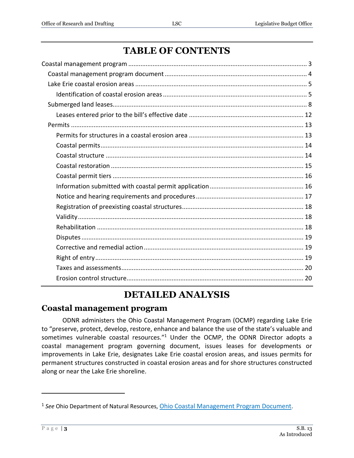# **TABLE OF CONTENTS**

# **DETAILED ANALYSIS**

# <span id="page-2-0"></span>**Coastal management program**

ODNR administers the Ohio Coastal Management Program (OCMP) regarding Lake Erie to "preserve, protect, develop, restore, enhance and balance the use of the state's valuable and sometimes vulnerable coastal resources."<sup>1</sup> Under the OCMP, the ODNR Director adopts a coastal management program governing document, issues leases for developments or improvements in Lake Erie, designates Lake Erie coastal erosion areas, and issues permits for permanent structures constructed in coastal erosion areas and for shore structures constructed along or near the Lake Erie shoreline.

<sup>&</sup>lt;sup>1</sup> See Ohio Department of Natural Resources, *[Ohio Coastal Management Program Document](https://ohiodnr.gov/discover-and-learn/safety-conservation/about-odnr/coastal-management/ohio-coastal-mgmt-program/ohio-coastal-mgmt-program-document)*.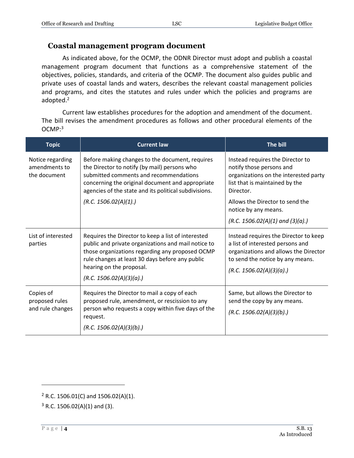#### <span id="page-3-0"></span>**Coastal management program document**

As indicated above, for the OCMP, the ODNR Director must adopt and publish a coastal management program document that functions as a comprehensive statement of the objectives, policies, standards, and criteria of the OCMP. The document also guides public and private uses of coastal lands and waters, describes the relevant coastal management policies and programs, and cites the statutes and rules under which the policies and programs are adopted.<sup>2</sup>

Current law establishes procedures for the adoption and amendment of the document. The bill revises the amendment procedures as follows and other procedural elements of the OCMP:<sup>3</sup>

| <b>Topic</b>                                      | <b>Current law</b>                                                                                                                                                                                                                                                      | The bill                                                                                                                                                                           |
|---------------------------------------------------|-------------------------------------------------------------------------------------------------------------------------------------------------------------------------------------------------------------------------------------------------------------------------|------------------------------------------------------------------------------------------------------------------------------------------------------------------------------------|
| Notice regarding<br>amendments to<br>the document | Before making changes to the document, requires<br>the Director to notify (by mail) persons who<br>submitted comments and recommendations<br>concerning the original document and appropriate<br>agencies of the state and its political subdivisions.                  | Instead requires the Director to<br>notify those persons and<br>organizations on the interested party<br>list that is maintained by the<br>Director.                               |
|                                                   | (R.C. 1506.02(A)(1).)                                                                                                                                                                                                                                                   | Allows the Director to send the<br>notice by any means.                                                                                                                            |
|                                                   |                                                                                                                                                                                                                                                                         | $(R.C. 1506.02(A)(1)$ and $(3)(a)$ .                                                                                                                                               |
| List of interested<br>parties                     | Requires the Director to keep a list of interested<br>public and private organizations and mail notice to<br>those organizations regarding any proposed OCMP<br>rule changes at least 30 days before any public<br>hearing on the proposal.<br>(R.C. 1506.02(A)(3)(a).) | Instead requires the Director to keep<br>a list of interested persons and<br>organizations and allows the Director<br>to send the notice by any means.<br>(R.C. 1506.02(A)(3)(a).) |
| Copies of<br>proposed rules<br>and rule changes   | Requires the Director to mail a copy of each<br>proposed rule, amendment, or rescission to any<br>person who requests a copy within five days of the<br>request.<br>(R.C. 1506.02(A)(3)(b).)                                                                            | Same, but allows the Director to<br>send the copy by any means.<br>(R.C. 1506.02(A)(3)(b).)                                                                                        |

 $2$  R.C. 1506.01(C) and 1506.02(A)(1).

 $3$  R.C. 1506.02(A)(1) and (3).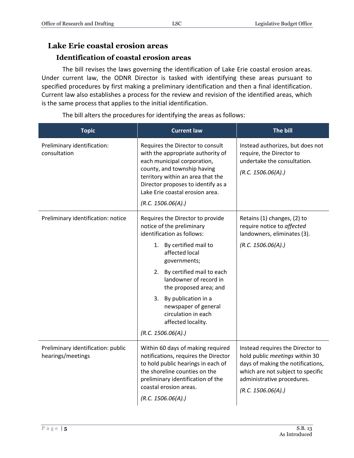# <span id="page-4-0"></span>**Lake Erie coastal erosion areas**

# **Identification of coastal erosion areas**

<span id="page-4-1"></span>The bill revises the laws governing the identification of Lake Erie coastal erosion areas. Under current law, the ODNR Director is tasked with identifying these areas pursuant to specified procedures by first making a preliminary identification and then a final identification. Current law also establishes a process for the review and revision of the identified areas, which is the same process that applies to the initial identification.

**Topic Current law The bill** Preliminary identification: consultation Requires the Director to consult with the appropriate authority of each municipal corporation, county, and township having territory within an area that the Director proposes to identify as a Lake Erie coastal erosion area. *(R.C. 1506.06(A).)* Instead authorizes, but does not require, the Director to undertake the consultation. *(R.C. 1506.06(A).)* Preliminary identification: notice  $\|\mathbf{R}|\|$  Requires the Director to provide notice of the preliminary identification as follows: 1. By certified mail to affected local governments; 2. By certified mail to each landowner of record in the proposed area; and 3. By publication in a newspaper of general circulation in each affected locality. *(R.C. 1506.06(A).)* Retains (1) changes, (2) to require notice to *affected* landowners, eliminates (3). *(R.C. 1506.06(A).)* Preliminary identification: public hearings/meetings Within 60 days of making required notifications, requires the Director to hold public hearings in each of the shoreline counties on the preliminary identification of the coastal erosion areas. *(R.C. 1506.06(A).)* Instead requires the Director to hold public *meetings* within 30 days of making the notifications, which are not subject to specific administrative procedures. *(R.C. 1506.06(A).)*

The bill alters the procedures for identifying the areas as follows: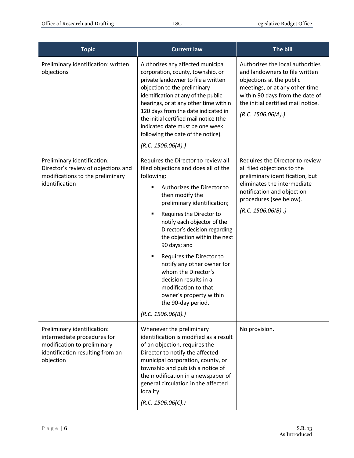| <b>Topic</b>                                                                                                                               | <b>Current law</b>                                                                                                                                                                                                                                                                                                                                                                                                                                                                                                                        | The bill                                                                                                                                                                                                                       |
|--------------------------------------------------------------------------------------------------------------------------------------------|-------------------------------------------------------------------------------------------------------------------------------------------------------------------------------------------------------------------------------------------------------------------------------------------------------------------------------------------------------------------------------------------------------------------------------------------------------------------------------------------------------------------------------------------|--------------------------------------------------------------------------------------------------------------------------------------------------------------------------------------------------------------------------------|
| Preliminary identification: written<br>objections                                                                                          | Authorizes any affected municipal<br>corporation, county, township, or<br>private landowner to file a written<br>objection to the preliminary<br>identification at any of the public<br>hearings, or at any other time within<br>120 days from the date indicated in<br>the initial certified mail notice (the<br>indicated date must be one week<br>following the date of the notice).<br>(R.C. 1506.06(A))                                                                                                                              | Authorizes the local authorities<br>and landowners to file written<br>objections at the public<br>meetings, or at any other time<br>within 90 days from the date of<br>the initial certified mail notice.<br>(R.C. 1506.06(A)) |
| Preliminary identification:<br>Director's review of objections and<br>modifications to the preliminary<br>identification                   | Requires the Director to review all<br>filed objections and does all of the<br>following:<br>Authorizes the Director to<br>then modify the<br>preliminary identification;<br>Ξ<br>Requires the Director to<br>notify each objector of the<br>Director's decision regarding<br>the objection within the next<br>90 days; and<br>Requires the Director to<br>٠<br>notify any other owner for<br>whom the Director's<br>decision results in a<br>modification to that<br>owner's property within<br>the 90-day period.<br>(R.C. 1506.06(B).) | Requires the Director to review<br>all filed objections to the<br>preliminary identification, but<br>eliminates the intermediate<br>notification and objection<br>procedures (see below).<br>(R.C. 1506.06(B).)                |
| Preliminary identification:<br>intermediate procedures for<br>modification to preliminary<br>identification resulting from an<br>objection | Whenever the preliminary<br>identification is modified as a result<br>of an objection, requires the<br>Director to notify the affected<br>municipal corporation, county, or<br>township and publish a notice of<br>the modification in a newspaper of<br>general circulation in the affected<br>locality.<br>(R.C. 1506.06(C).)                                                                                                                                                                                                           | No provision.                                                                                                                                                                                                                  |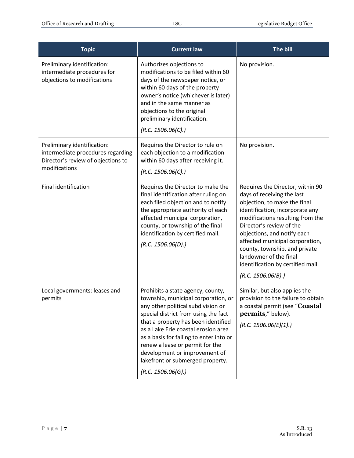| <b>Topic</b>                                                                                                            | <b>Current law</b>                                                                                                                                                                                                                                                                                                                                                                                            | The bill                                                                                                                                                                                                                                                                                                                                                                                  |
|-------------------------------------------------------------------------------------------------------------------------|---------------------------------------------------------------------------------------------------------------------------------------------------------------------------------------------------------------------------------------------------------------------------------------------------------------------------------------------------------------------------------------------------------------|-------------------------------------------------------------------------------------------------------------------------------------------------------------------------------------------------------------------------------------------------------------------------------------------------------------------------------------------------------------------------------------------|
| Preliminary identification:<br>intermediate procedures for<br>objections to modifications                               | Authorizes objections to<br>modifications to be filed within 60<br>days of the newspaper notice, or<br>within 60 days of the property<br>owner's notice (whichever is later)<br>and in the same manner as<br>objections to the original<br>preliminary identification.<br>(R.C. 1506.06(C).)                                                                                                                  | No provision.                                                                                                                                                                                                                                                                                                                                                                             |
| Preliminary identification:<br>intermediate procedures regarding<br>Director's review of objections to<br>modifications | Requires the Director to rule on<br>each objection to a modification<br>within 60 days after receiving it.<br>(R.C. 1506.06(C).)                                                                                                                                                                                                                                                                              | No provision.                                                                                                                                                                                                                                                                                                                                                                             |
| <b>Final identification</b>                                                                                             | Requires the Director to make the<br>final identification after ruling on<br>each filed objection and to notify<br>the appropriate authority of each<br>affected municipal corporation,<br>county, or township of the final<br>identification by certified mail.<br>(R.C. 1506.06(D).)                                                                                                                        | Requires the Director, within 90<br>days of receiving the last<br>objection, to make the final<br>identification, incorporate any<br>modifications resulting from the<br>Director's review of the<br>objections, and notify each<br>affected municipal corporation,<br>county, township, and private<br>landowner of the final<br>identification by certified mail.<br>(R.C. 1506.06(B).) |
| Local governments: leases and<br>permits                                                                                | Prohibits a state agency, county,<br>township, municipal corporation, or<br>any other political subdivision or<br>special district from using the fact<br>that a property has been identified<br>as a Lake Erie coastal erosion area<br>as a basis for failing to enter into or<br>renew a lease or permit for the<br>development or improvement of<br>lakefront or submerged property.<br>(R.C. 1506.06(G).) | Similar, but also applies the<br>provision to the failure to obtain<br>a coastal permit (see "Coastal<br>permits," below).<br>(R.C. 1506.06(E)(1).)                                                                                                                                                                                                                                       |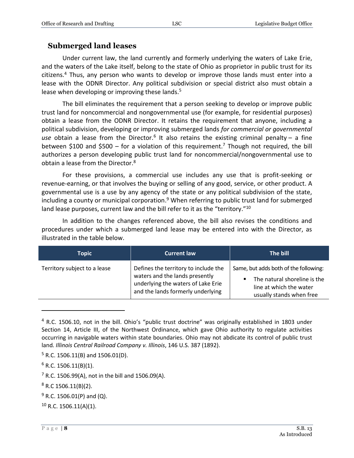# <span id="page-7-0"></span>**Submerged land leases**

Under current law, the land currently and formerly underlying the waters of Lake Erie, and the waters of the Lake itself, belong to the state of Ohio as proprietor in public trust for its citizens.<sup>4</sup> Thus, any person who wants to develop or improve those lands must enter into a lease with the ODNR Director. Any political subdivision or special district also must obtain a lease when developing or improving these lands.<sup>5</sup>

The bill eliminates the requirement that a person seeking to develop or improve public trust land for noncommercial and nongovernmental use (for example, for residential purposes) obtain a lease from the ODNR Director. It retains the requirement that anyone, including a political subdivision, developing or improving submerged lands *for commercial or governmental*  use obtain a lease from the Director.<sup>6</sup> It also retains the existing criminal penalty - a fine between \$100 and \$500 – for a violation of this requirement.<sup>7</sup> Though not required, the bill authorizes a person developing public trust land for noncommercial/nongovernmental use to obtain a lease from the Director.<sup>8</sup>

For these provisions, a commercial use includes any use that is profit-seeking or revenue-earning, or that involves the buying or selling of any good, service, or other product. A governmental use is a use by any agency of the state or any political subdivision of the state, including a county or municipal corporation. <sup>9</sup> When referring to public trust land for submerged land lease purposes, current law and the bill refer to it as the "territory."<sup>10</sup>

In addition to the changes referenced above, the bill also revises the conditions and procedures under which a submerged land lease may be entered into with the Director, as illustrated in the table below.

| Topic                        | <b>Current law</b>                                                                                                                                | The bill                                                                                                                     |
|------------------------------|---------------------------------------------------------------------------------------------------------------------------------------------------|------------------------------------------------------------------------------------------------------------------------------|
| Territory subject to a lease | Defines the territory to include the<br>waters and the lands presently<br>underlying the waters of Lake Erie<br>and the lands formerly underlying | Same, but adds both of the following:<br>The natural shoreline is the<br>line at which the water<br>usually stands when free |

<sup>&</sup>lt;sup>4</sup> R.C. 1506.10, not in the bill. Ohio's "public trust doctrine" was originally established in 1803 under Section 14, Article III, of the Northwest Ordinance, which gave Ohio authority to regulate activities occurring in navigable waters within state boundaries. Ohio may not abdicate its control of public trust land*. Illinois Central Railroad Company v. Illinois*, 146 U.S. 387 (1892).

 $5$  R.C. 1506.11(B) and 1506.01(D).

 $6$  R.C. 1506.11(B)(1).

 $7$  R.C. 1506.99(A), not in the bill and 1506.09(A).

 $8$  R.C 1506.11(B)(2).

 $9$  R.C. 1506.01(P) and (Q).

<sup>10</sup> R.C. 1506.11(A)(1).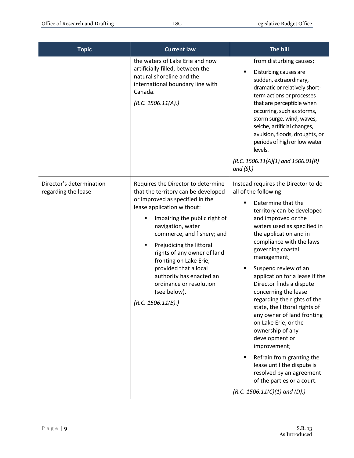| <b>Topic</b>                                    | <b>Current law</b>                                                                                                                                                                                                                                                                                                                                                                                                                             | The bill                                                                                                                                                                                                                                                                                                                                                                                                                                                                                                                                                                                                                                                                                                                     |
|-------------------------------------------------|------------------------------------------------------------------------------------------------------------------------------------------------------------------------------------------------------------------------------------------------------------------------------------------------------------------------------------------------------------------------------------------------------------------------------------------------|------------------------------------------------------------------------------------------------------------------------------------------------------------------------------------------------------------------------------------------------------------------------------------------------------------------------------------------------------------------------------------------------------------------------------------------------------------------------------------------------------------------------------------------------------------------------------------------------------------------------------------------------------------------------------------------------------------------------------|
|                                                 | the waters of Lake Erie and now<br>artificially filled, between the<br>natural shoreline and the<br>international boundary line with<br>Canada.<br>(R.C. 1506.11(A).)                                                                                                                                                                                                                                                                          | from disturbing causes;<br>Disturbing causes are<br>sudden, extraordinary,<br>dramatic or relatively short-<br>term actions or processes<br>that are perceptible when<br>occurring, such as storms,<br>storm surge, wind, waves,<br>seiche, artificial changes,<br>avulsion, floods, droughts, or<br>periods of high or low water<br>levels.<br>$(R.C. 1506.11(A)(1)$ and $1506.01(R)$<br>and $(S)$ .)                                                                                                                                                                                                                                                                                                                       |
| Director's determination<br>regarding the lease | Requires the Director to determine<br>that the territory can be developed<br>or improved as specified in the<br>lease application without:<br>Impairing the public right of<br>navigation, water<br>commerce, and fishery; and<br>Prejudicing the littoral<br>٠<br>rights of any owner of land<br>fronting on Lake Erie,<br>provided that a local<br>authority has enacted an<br>ordinance or resolution<br>(see below).<br>(R.C. 1506.11(B).) | Instead requires the Director to do<br>all of the following:<br>Determine that the<br>٠<br>territory can be developed<br>and improved or the<br>waters used as specified in<br>the application and in<br>compliance with the laws<br>governing coastal<br>management;<br>Suspend review of an<br>٠<br>application for a lease if the<br>Director finds a dispute<br>concerning the lease<br>regarding the rights of the<br>state, the littoral rights of<br>any owner of land fronting<br>on Lake Erie, or the<br>ownership of any<br>development or<br>improvement;<br>Refrain from granting the<br>lease until the dispute is<br>resolved by an agreement<br>of the parties or a court.<br>$(R.C. 1506.11(C)(1)$ and (D).) |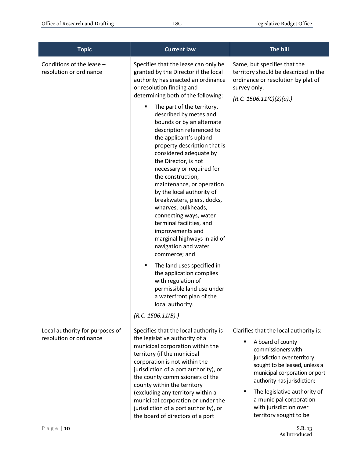| <b>Topic</b>                                               | <b>Current law</b>                                                                                                                                                                                                                                                                                                                                                                                                                                                                                                                                                                                                                                                                                                                                                                                                                                                                                                                                | The bill                                                                                                                                                                                                                                                                                                                         |
|------------------------------------------------------------|---------------------------------------------------------------------------------------------------------------------------------------------------------------------------------------------------------------------------------------------------------------------------------------------------------------------------------------------------------------------------------------------------------------------------------------------------------------------------------------------------------------------------------------------------------------------------------------------------------------------------------------------------------------------------------------------------------------------------------------------------------------------------------------------------------------------------------------------------------------------------------------------------------------------------------------------------|----------------------------------------------------------------------------------------------------------------------------------------------------------------------------------------------------------------------------------------------------------------------------------------------------------------------------------|
| Conditions of the lease -<br>resolution or ordinance       | Specifies that the lease can only be<br>granted by the Director if the local<br>authority has enacted an ordinance<br>or resolution finding and<br>determining both of the following:<br>The part of the territory,<br>$\blacksquare$<br>described by metes and<br>bounds or by an alternate<br>description referenced to<br>the applicant's upland<br>property description that is<br>considered adequate by<br>the Director, is not<br>necessary or required for<br>the construction,<br>maintenance, or operation<br>by the local authority of<br>breakwaters, piers, docks,<br>wharves, bulkheads,<br>connecting ways, water<br>terminal facilities, and<br>improvements and<br>marginal highways in aid of<br>navigation and water<br>commerce; and<br>The land uses specified in<br>٠<br>the application complies<br>with regulation of<br>permissible land use under<br>a waterfront plan of the<br>local authority.<br>(R.C. 1506.11(B).) | Same, but specifies that the<br>territory should be described in the<br>ordinance or resolution by plat of<br>survey only.<br>(R.C. 1506.11(C)(2)(a).)                                                                                                                                                                           |
| Local authority for purposes of<br>resolution or ordinance | Specifies that the local authority is<br>the legislative authority of a<br>municipal corporation within the<br>territory (if the municipal<br>corporation is not within the<br>jurisdiction of a port authority), or<br>the county commissioners of the<br>county within the territory<br>(excluding any territory within a<br>municipal corporation or under the<br>jurisdiction of a port authority), or<br>the board of directors of a port                                                                                                                                                                                                                                                                                                                                                                                                                                                                                                    | Clarifies that the local authority is:<br>A board of county<br>commissioners with<br>jurisdiction over territory<br>sought to be leased, unless a<br>municipal corporation or port<br>authority has jurisdiction;<br>The legislative authority of<br>a municipal corporation<br>with jurisdiction over<br>territory sought to be |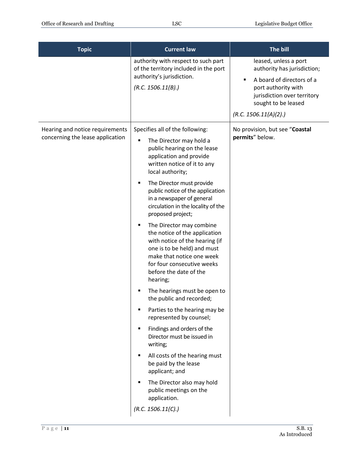| <b>Topic</b>                                                        | <b>Current law</b>                                                                                                                                                                                                                                                                                                                                                                                                                                                                                                                                                                                                                                                                                                                                                                                                                                                                                                                            | The bill                                                                                                                                                                                |
|---------------------------------------------------------------------|-----------------------------------------------------------------------------------------------------------------------------------------------------------------------------------------------------------------------------------------------------------------------------------------------------------------------------------------------------------------------------------------------------------------------------------------------------------------------------------------------------------------------------------------------------------------------------------------------------------------------------------------------------------------------------------------------------------------------------------------------------------------------------------------------------------------------------------------------------------------------------------------------------------------------------------------------|-----------------------------------------------------------------------------------------------------------------------------------------------------------------------------------------|
|                                                                     | authority with respect to such part<br>of the territory included in the port<br>authority's jurisdiction.<br>(R.C. 1506.11(B).)                                                                                                                                                                                                                                                                                                                                                                                                                                                                                                                                                                                                                                                                                                                                                                                                               | leased, unless a port<br>authority has jurisdiction;<br>A board of directors of a<br>port authority with<br>jurisdiction over territory<br>sought to be leased<br>(R.C. 1506.11(A)(2).) |
| Hearing and notice requirements<br>concerning the lease application | Specifies all of the following:<br>The Director may hold a<br>public hearing on the lease<br>application and provide<br>written notice of it to any<br>local authority;<br>The Director must provide<br>٠<br>public notice of the application<br>in a newspaper of general<br>circulation in the locality of the<br>proposed project;<br>The Director may combine<br>the notice of the application<br>with notice of the hearing (if<br>one is to be held) and must<br>make that notice one week<br>for four consecutive weeks<br>before the date of the<br>hearing;<br>The hearings must be open to<br>the public and recorded;<br>Parties to the hearing may be<br>represented by counsel;<br>Findings and orders of the<br>Director must be issued in<br>writing;<br>All costs of the hearing must<br>be paid by the lease<br>applicant; and<br>The Director also may hold<br>public meetings on the<br>application.<br>(R.C. 1506.11(C).) | No provision, but see "Coastal<br>permits" below.                                                                                                                                       |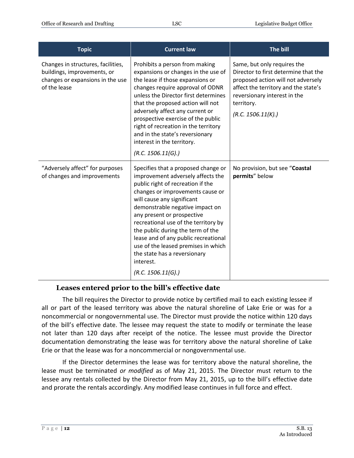| <b>Topic</b>                                                                                                          | <b>Current law</b>                                                                                                                                                                                                                                                                                                                                                                                                                                                              | The bill                                                                                                                                                                                                              |
|-----------------------------------------------------------------------------------------------------------------------|---------------------------------------------------------------------------------------------------------------------------------------------------------------------------------------------------------------------------------------------------------------------------------------------------------------------------------------------------------------------------------------------------------------------------------------------------------------------------------|-----------------------------------------------------------------------------------------------------------------------------------------------------------------------------------------------------------------------|
| Changes in structures, facilities,<br>buildings, improvements, or<br>changes or expansions in the use<br>of the lease | Prohibits a person from making<br>expansions or changes in the use of<br>the lease if those expansions or<br>changes require approval of ODNR<br>unless the Director first determines<br>that the proposed action will not<br>adversely affect any current or<br>prospective exercise of the public<br>right of recreation in the territory<br>and in the state's reversionary<br>interest in the territory.<br>(R.C. 1506.11(G).)                                              | Same, but only requires the<br>Director to first determine that the<br>proposed action will not adversely<br>affect the territory and the state's<br>reversionary interest in the<br>territory.<br>(R.C. 1506.11(K).) |
| "Adversely affect" for purposes<br>of changes and improvements                                                        | Specifies that a proposed change or<br>improvement adversely affects the<br>public right of recreation if the<br>changes or improvements cause or<br>will cause any significant<br>demonstrable negative impact on<br>any present or prospective<br>recreational use of the territory by<br>the public during the term of the<br>lease and of any public recreational<br>use of the leased premises in which<br>the state has a reversionary<br>interest.<br>(R.C. 1506.11(G).) | No provision, but see "Coastal<br>permits" below                                                                                                                                                                      |

# <span id="page-11-0"></span>**Leases entered prior to the bill's effective date**

The bill requires the Director to provide notice by certified mail to each existing lessee if all or part of the leased territory was above the natural shoreline of Lake Erie or was for a noncommercial or nongovernmental use. The Director must provide the notice within 120 days of the bill's effective date. The lessee may request the state to modify or terminate the lease not later than 120 days after receipt of the notice. The lessee must provide the Director documentation demonstrating the lease was for territory above the natural shoreline of Lake Erie or that the lease was for a noncommercial or nongovernmental use.

If the Director determines the lease was for territory above the natural shoreline, the lease must be terminated *or modified* as of May 21, 2015. The Director must return to the lessee any rentals collected by the Director from May 21, 2015, up to the bill's effective date and prorate the rentals accordingly. Any modified lease continues in full force and effect.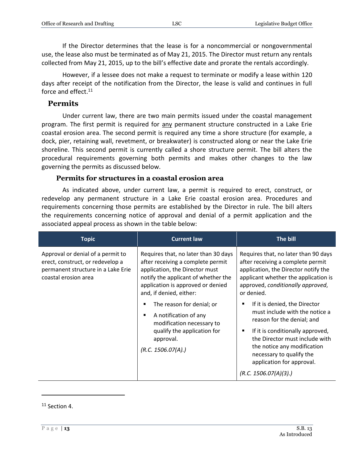If the Director determines that the lease is for a noncommercial or nongovernmental use, the lease also must be terminated as of May 21, 2015. The Director must return any rentals collected from May 21, 2015, up to the bill's effective date and prorate the rentals accordingly.

However, if a lessee does not make a request to terminate or modify a lease within 120 days after receipt of the notification from the Director, the lease is valid and continues in full force and effect. $11$ 

#### <span id="page-12-0"></span>**Permits**

Under current law, there are two main permits issued under the coastal management program. The first permit is required for any permanent structure constructed in a Lake Erie coastal erosion area. The second permit is required any time a shore structure (for example, a dock, pier, retaining wall, revetment, or breakwater) is constructed along or near the Lake Erie shoreline. This second permit is currently called a shore structure permit. The bill alters the procedural requirements governing both permits and makes other changes to the law governing the permits as discussed below.

#### **Permits for structures in a coastal erosion area**

<span id="page-12-1"></span>As indicated above, under current law, a permit is required to erect, construct, or redevelop any permanent structure in a Lake Erie coastal erosion area. Procedures and requirements concerning those permits are established by the Director in rule. The bill alters the requirements concerning notice of approval and denial of a permit application and the associated appeal process as shown in the table below:

| <b>Topic</b>                                                                                                                        | <b>Current law</b>                                                                                                                                                                                                 | The bill                                                                                                                                                                                                                                                                                                    |
|-------------------------------------------------------------------------------------------------------------------------------------|--------------------------------------------------------------------------------------------------------------------------------------------------------------------------------------------------------------------|-------------------------------------------------------------------------------------------------------------------------------------------------------------------------------------------------------------------------------------------------------------------------------------------------------------|
| Approval or denial of a permit to<br>erect, construct, or redevelop a<br>permanent structure in a Lake Erie<br>coastal erosion area | Requires that, no later than 30 days<br>after receiving a complete permit<br>application, the Director must<br>notify the applicant of whether the<br>application is approved or denied<br>and, if denied, either: | Requires that, no later than 90 days<br>after receiving a complete permit<br>application, the Director notify the<br>applicant whether the application is<br>approved, conditionally approved,<br>or denied.                                                                                                |
|                                                                                                                                     | The reason for denial; or<br>A notification of any<br>$\blacksquare$<br>modification necessary to<br>qualify the application for<br>approval.<br>(R.C. 1506.07(A))                                                 | If it is denied, the Director<br>$\blacksquare$<br>must include with the notice a<br>reason for the denial; and<br>If it is conditionally approved,<br>٠<br>the Director must include with<br>the notice any modification<br>necessary to qualify the<br>application for approval.<br>(R.C. 1506.07(A)(3).) |

<sup>&</sup>lt;sup>11</sup> Section 4.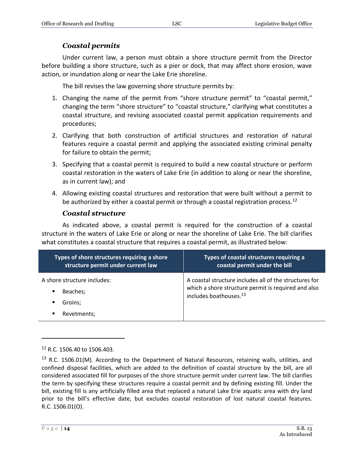# *Coastal permits*

<span id="page-13-0"></span>Under current law, a person must obtain a shore structure permit from the Director before building a shore structure, such as a pier or dock, that may affect shore erosion, wave action, or inundation along or near the Lake Erie shoreline.

The bill revises the law governing shore structure permits by:

- 1. Changing the name of the permit from "shore structure permit" to "coastal permit," changing the term "shore structure" to "coastal structure," clarifying what constitutes a coastal structure, and revising associated coastal permit application requirements and procedures;
- 2. Clarifying that both construction of artificial structures and restoration of natural features require a coastal permit and applying the associated existing criminal penalty for failure to obtain the permit;
- 3. Specifying that a coastal permit is required to build a new coastal structure or perform coastal restoration in the waters of Lake Erie (in addition to along or near the shoreline, as in current law); and
- 4. Allowing existing coastal structures and restoration that were built without a permit to be authorized by either a coastal permit or through a coastal registration process.<sup>12</sup>

# *Coastal structure*

<span id="page-13-1"></span>As indicated above, a coastal permit is required for the construction of a coastal structure in the waters of Lake Erie or along or near the shoreline of Lake Erie. The bill clarifies what constitutes a coastal structure that requires a coastal permit, as illustrated below:

| Types of shore structures requiring a shore<br>structure permit under current law      | Types of coastal structures requiring a<br>coastal permit under the bill                                                                            |
|----------------------------------------------------------------------------------------|-----------------------------------------------------------------------------------------------------------------------------------------------------|
| A shore structure includes:<br>Beaches;<br>$\blacksquare$<br>Groins;<br>$\blacksquare$ | A coastal structure includes all of the structures for<br>which a shore structure permit is required and also<br>includes boathouses. <sup>13</sup> |
| Revetments;<br>٠                                                                       |                                                                                                                                                     |

 $12$  R.C. 1506.40 to 1506.403.

<sup>&</sup>lt;sup>13</sup> R.C. 1506.01(M). According to the Department of Natural Resources, retaining walls, utilities, and confined disposal facilities, which are added to the definition of coastal structure by the bill, are all considered associated fill for purposes of the shore structure permit under current law. The bill clarifies the term by specifying these structures require a coastal permit and by defining existing fill. Under the bill, existing fill is any artificially filled area that replaced a natural Lake Erie aquatic area with dry land prior to the bill's effective date, but excludes coastal restoration of lost natural coastal features. R.C. 1506.01(O).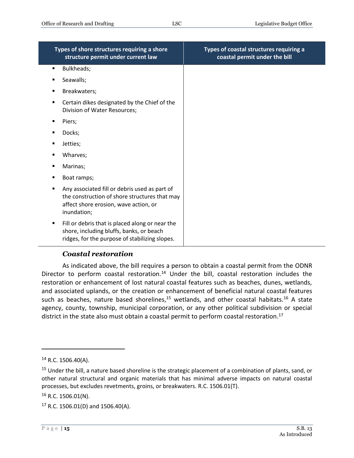| Types of shore structures requiring a shore<br>structure permit under current law                                                                                        | Types of coastal structures requiring a<br>coastal permit under the bill |
|--------------------------------------------------------------------------------------------------------------------------------------------------------------------------|--------------------------------------------------------------------------|
| Bulkheads;<br>٠                                                                                                                                                          |                                                                          |
| Seawalls;<br>п                                                                                                                                                           |                                                                          |
| Breakwaters;                                                                                                                                                             |                                                                          |
| Certain dikes designated by the Chief of the<br>٠<br>Division of Water Resources;                                                                                        |                                                                          |
| Piers;<br>п                                                                                                                                                              |                                                                          |
| Docks;<br>п                                                                                                                                                              |                                                                          |
| Jetties;                                                                                                                                                                 |                                                                          |
| Wharves;<br>п                                                                                                                                                            |                                                                          |
| Marinas;                                                                                                                                                                 |                                                                          |
| Boat ramps;                                                                                                                                                              |                                                                          |
| Any associated fill or debris used as part of<br>$\blacksquare$<br>the construction of shore structures that may<br>affect shore erosion, wave action, or<br>inundation; |                                                                          |
| Fill or debris that is placed along or near the<br>٠<br>shore, including bluffs, banks, or beach<br>ridges, for the purpose of stabilizing slopes.                       |                                                                          |

# *Coastal restoration*

<span id="page-14-0"></span>As indicated above, the bill requires a person to obtain a coastal permit from the ODNR Director to perform coastal restoration.<sup>14</sup> Under the bill, coastal restoration includes the restoration or enhancement of lost natural coastal features such as beaches, dunes, wetlands, and associated uplands, or the creation or enhancement of beneficial natural coastal features such as beaches, nature based shorelines, $15$  wetlands, and other coastal habitats. $16$  A state agency, county, township, municipal corporation, or any other political subdivision or special district in the state also must obtain a coastal permit to perform coastal restoration.<sup>17</sup>

 $14$  R.C. 1506.40(A).

<sup>&</sup>lt;sup>15</sup> Under the bill, a nature based shoreline is the strategic placement of a combination of plants, sand, or other natural structural and organic materials that has minimal adverse impacts on natural coastal processes, but excludes revetments, groins, or breakwaters. R.C. 1506.01(T).

 $16$  R.C. 1506.01(N).

 $17$  R.C. 1506.01(D) and 1506.40(A).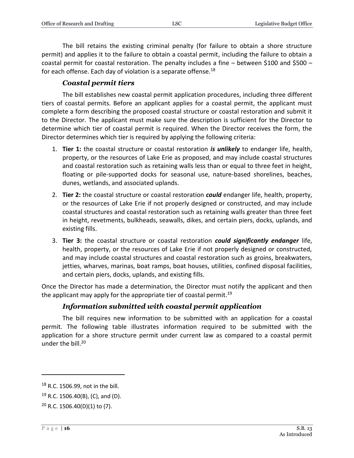The bill retains the existing criminal penalty (for failure to obtain a shore structure permit) and applies it to the failure to obtain a coastal permit, including the failure to obtain a coastal permit for coastal restoration. The penalty includes a fine – between \$100 and \$500 – for each offense. Each day of violation is a separate offense.<sup>18</sup>

#### *Coastal permit tiers*

<span id="page-15-0"></span>The bill establishes new coastal permit application procedures, including three different tiers of coastal permits. Before an applicant applies for a coastal permit, the applicant must complete a form describing the proposed coastal structure or coastal restoration and submit it to the Director. The applicant must make sure the description is sufficient for the Director to determine which tier of coastal permit is required. When the Director receives the form, the Director determines which tier is required by applying the following criteria:

- 1. **Tier 1:** the coastal structure or coastal restoration *is unlikely* to endanger life, health, property, or the resources of Lake Erie as proposed, and may include coastal structures and coastal restoration such as retaining walls less than or equal to three feet in height, floating or pile-supported docks for seasonal use, nature-based shorelines, beaches, dunes, wetlands, and associated uplands.
- 2. **Tier 2:** the coastal structure or coastal restoration *could* endanger life, health, property, or the resources of Lake Erie if not properly designed or constructed, and may include coastal structures and coastal restoration such as retaining walls greater than three feet in height, revetments, bulkheads, seawalls, dikes, and certain piers, docks, uplands, and existing fills.
- 3. **Tier 3:** the coastal structure or coastal restoration *could significantly endanger* life, health, property, or the resources of Lake Erie if not properly designed or constructed, and may include coastal structures and coastal restoration such as groins, breakwaters, jetties, wharves, marinas, boat ramps, boat houses, utilities, confined disposal facilities, and certain piers, docks, uplands, and existing fills.

Once the Director has made a determination, the Director must notify the applicant and then the applicant may apply for the appropriate tier of coastal permit.<sup>19</sup>

#### *Information submitted with coastal permit application*

<span id="page-15-1"></span>The bill requires new information to be submitted with an application for a coastal permit. The following table illustrates information required to be submitted with the application for a shore structure permit under current law as compared to a coastal permit under the bill.<sup>20</sup>

<sup>&</sup>lt;sup>18</sup> R.C. 1506.99, not in the bill.

 $19$  R.C. 1506.40(B), (C), and (D).

 $20$  R.C. 1506.40(D)(1) to (7).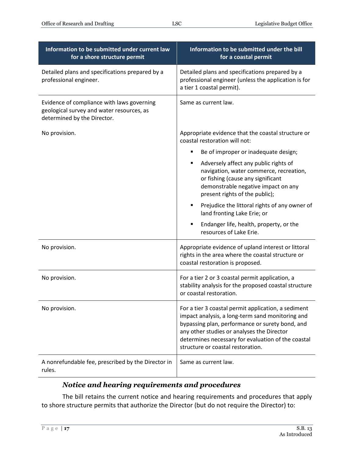| Information to be submitted under current law<br>for a shore structure permit                                          | Information to be submitted under the bill<br>for a coastal permit                                                                                                                                                                                                                                  |
|------------------------------------------------------------------------------------------------------------------------|-----------------------------------------------------------------------------------------------------------------------------------------------------------------------------------------------------------------------------------------------------------------------------------------------------|
| Detailed plans and specifications prepared by a<br>professional engineer.                                              | Detailed plans and specifications prepared by a<br>professional engineer (unless the application is for<br>a tier 1 coastal permit).                                                                                                                                                                |
| Evidence of compliance with laws governing<br>geological survey and water resources, as<br>determined by the Director. | Same as current law.                                                                                                                                                                                                                                                                                |
| No provision.                                                                                                          | Appropriate evidence that the coastal structure or<br>coastal restoration will not:                                                                                                                                                                                                                 |
|                                                                                                                        | Be of improper or inadequate design;                                                                                                                                                                                                                                                                |
|                                                                                                                        | Adversely affect any public rights of<br>٠<br>navigation, water commerce, recreation,<br>or fishing (cause any significant<br>demonstrable negative impact on any<br>present rights of the public);                                                                                                 |
|                                                                                                                        | Prejudice the littoral rights of any owner of<br>land fronting Lake Erie; or                                                                                                                                                                                                                        |
|                                                                                                                        | Endanger life, health, property, or the<br>resources of Lake Erie.                                                                                                                                                                                                                                  |
| No provision.                                                                                                          | Appropriate evidence of upland interest or littoral<br>rights in the area where the coastal structure or<br>coastal restoration is proposed.                                                                                                                                                        |
| No provision.                                                                                                          | For a tier 2 or 3 coastal permit application, a<br>stability analysis for the proposed coastal structure<br>or coastal restoration.                                                                                                                                                                 |
| No provision.                                                                                                          | For a tier 3 coastal permit application, a sediment<br>impact analysis, a long-term sand monitoring and<br>bypassing plan, performance or surety bond, and<br>any other studies or analyses the Director<br>determines necessary for evaluation of the coastal<br>structure or coastal restoration. |
| A nonrefundable fee, prescribed by the Director in<br>rules.                                                           | Same as current law.                                                                                                                                                                                                                                                                                |

# *Notice and hearing requirements and procedures*

<span id="page-16-0"></span>The bill retains the current notice and hearing requirements and procedures that apply to shore structure permits that authorize the Director (but do not require the Director) to: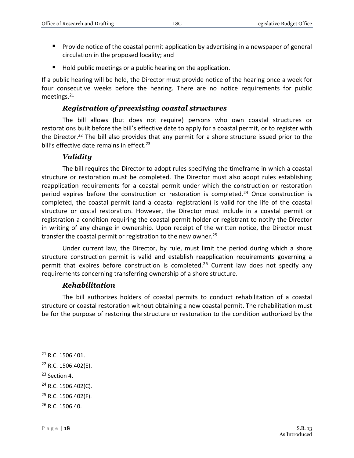- **Provide notice of the coastal permit application by advertising in a newspaper of general** circulation in the proposed locality; and
- Hold public meetings or a public hearing on the application.

If a public hearing will be held, the Director must provide notice of the hearing once a week for four consecutive weeks before the hearing. There are no notice requirements for public meetings.<sup>21</sup>

#### *Registration of preexisting coastal structures*

<span id="page-17-0"></span>The bill allows (but does not require) persons who own coastal structures or restorations built before the bill's effective date to apply for a coastal permit, or to register with the Director.<sup>22</sup> The bill also provides that any permit for a shore structure issued prior to the bill's effective date remains in effect.<sup>23</sup>

#### *Validity*

<span id="page-17-1"></span>The bill requires the Director to adopt rules specifying the timeframe in which a coastal structure or restoration must be completed. The Director must also adopt rules establishing reapplication requirements for a coastal permit under which the construction or restoration period expires before the construction or restoration is completed.<sup>24</sup> Once construction is completed, the coastal permit (and a coastal registration) is valid for the life of the coastal structure or costal restoration. However, the Director must include in a coastal permit or registration a condition requiring the coastal permit holder or registrant to notify the Director in writing of any change in ownership. Upon receipt of the written notice, the Director must transfer the coastal permit or registration to the new owner.<sup>25</sup>

Under current law, the Director, by rule, must limit the period during which a shore structure construction permit is valid and establish reapplication requirements governing a permit that expires before construction is completed.<sup>26</sup> Current law does not specify any requirements concerning transferring ownership of a shore structure.

#### *Rehabilitation*

<span id="page-17-2"></span>The bill authorizes holders of coastal permits to conduct rehabilitation of a coastal structure or coastal restoration without obtaining a new coastal permit. The rehabilitation must be for the purpose of restoring the structure or restoration to the condition authorized by the

<sup>23</sup> Section 4.

 $\overline{a}$ 

 $24$  R.C. 1506.402(C).

<sup>&</sup>lt;sup>21</sup> R.C. 1506.401.

 $22$  R.C. 1506.402(E).

 $25$  R.C. 1506.402(F).

<sup>26</sup> R.C. 1506.40.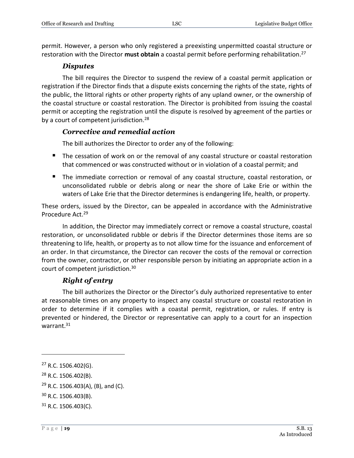permit. However, a person who only registered a preexisting unpermitted coastal structure or restoration with the Director **must obtain** a coastal permit before performing rehabilitation.<sup>27</sup>

#### *Disputes*

<span id="page-18-0"></span>The bill requires the Director to suspend the review of a coastal permit application or registration if the Director finds that a dispute exists concerning the rights of the state, rights of the public, the littoral rights or other property rights of any upland owner, or the ownership of the coastal structure or coastal restoration. The Director is prohibited from issuing the coastal permit or accepting the registration until the dispute is resolved by agreement of the parties or by a court of competent jurisdiction.<sup>28</sup>

#### <span id="page-18-1"></span>*Corrective and remedial action*

The bill authorizes the Director to order any of the following:

- The cessation of work on or the removal of any coastal structure or coastal restoration that commenced or was constructed without or in violation of a coastal permit; and
- The immediate correction or removal of any coastal structure, coastal restoration, or unconsolidated rubble or debris along or near the shore of Lake Erie or within the waters of Lake Erie that the Director determines is endangering life, health, or property.

These orders, issued by the Director, can be appealed in accordance with the Administrative Procedure Act.<sup>29</sup>

In addition, the Director may immediately correct or remove a coastal structure, coastal restoration, or unconsolidated rubble or debris if the Director determines those items are so threatening to life, health, or property as to not allow time for the issuance and enforcement of an order. In that circumstance, the Director can recover the costs of the removal or correction from the owner, contractor, or other responsible person by initiating an appropriate action in a court of competent jurisdiction.<sup>30</sup>

# *Right of entry*

<span id="page-18-2"></span>The bill authorizes the Director or the Director's duly authorized representative to enter at reasonable times on any property to inspect any coastal structure or coastal restoration in order to determine if it complies with a coastal permit, registration, or rules. If entry is prevented or hindered, the Director or representative can apply to a court for an inspection warrant.<sup>31</sup>

 $27$  R.C. 1506.402(G).

<sup>28</sup> R.C. 1506.402(B).

 $29$  R.C. 1506.403(A), (B), and (C).

<sup>30</sup> R.C. 1506.403(B).

 $31$  R.C. 1506.403(C).